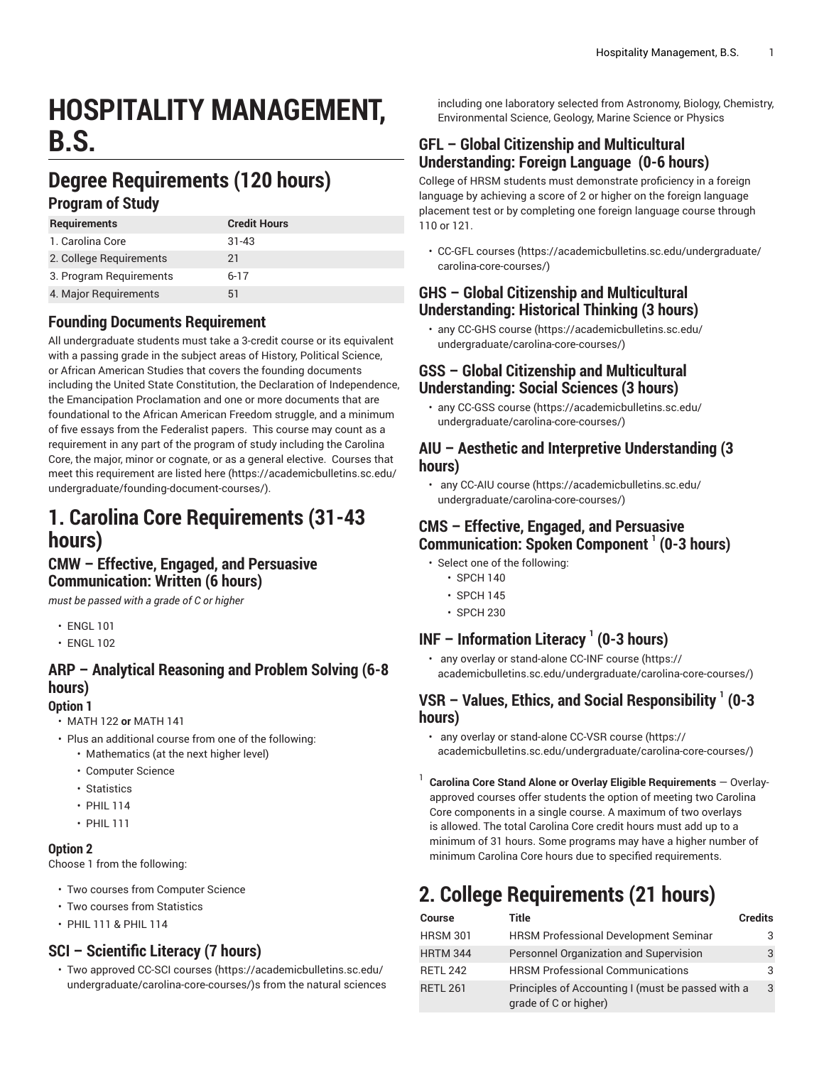# **HOSPITALITY MANAGEMENT, B.S.**

# **Degree Requirements (120 hours)**

#### **Program of Study**

| <b>Requirements</b>     | <b>Credit Hours</b> |
|-------------------------|---------------------|
| 1. Carolina Core        | $31 - 43$           |
| 2. College Requirements | 21                  |
| 3. Program Requirements | $6-17$              |
| 4. Major Requirements   | b1                  |

#### **Founding Documents Requirement**

All undergraduate students must take a 3-credit course or its equivalent with a passing grade in the subject areas of History, Political Science, or African American Studies that covers the founding documents including the United State Constitution, the Declaration of Independence, the Emancipation Proclamation and one or more documents that are foundational to the African American Freedom struggle, and a minimum of five essays from the Federalist papers. This course may count as a requirement in any part of the program of study including the Carolina Core, the major, minor or cognate, or as a general elective. Courses that meet this requirement are listed [here \(https://academicbulletins.sc.edu/](https://academicbulletins.sc.edu/undergraduate/founding-document-courses/) [undergraduate/founding-document-courses/\)](https://academicbulletins.sc.edu/undergraduate/founding-document-courses/).

## **1. Carolina Core Requirements (31-43 hours)**

#### **CMW – Effective, Engaged, and Persuasive Communication: Written (6 hours)**

*must be passed with a grade of C or higher*

- ENGL 101
- ENGL 102

## **ARP – Analytical Reasoning and Problem Solving (6-8 hours)**

#### **Option 1**

- MATH 122 **or** MATH 141
- Plus an additional course from one of the following:
	- Mathematics (at the next higher level)
		- Computer Science
		- Statistics
		- PHIL 114
		- PHIL 111

#### **Option 2**

Choose 1 from the following:

- Two courses from Computer Science
- Two courses from Statistics
- PHIL 111 & PHIL 114

#### **SCI – Scientific Literacy (7 hours)**

• Two approved [CC-SCI courses \(https://academicbulletins.sc.edu/](https://academicbulletins.sc.edu/undergraduate/carolina-core-courses/) [undergraduate/carolina-core-courses/\)](https://academicbulletins.sc.edu/undergraduate/carolina-core-courses/)s from the natural sciences including one laboratory selected from Astronomy, Biology, Chemistry, Environmental Science, Geology, Marine Science or Physics

#### **GFL – Global Citizenship and Multicultural Understanding: Foreign Language (0-6 hours)**

College of HRSM students must demonstrate proficiency in a foreign language by achieving a score of 2 or higher on the foreign language placement test or by completing one foreign language course through 110 or 121.

• [CC-GFL courses \(https://academicbulletins.sc.edu/undergraduate/](https://academicbulletins.sc.edu/undergraduate/carolina-core-courses/) [carolina-core-courses/](https://academicbulletins.sc.edu/undergraduate/carolina-core-courses/))

#### **GHS – Global Citizenship and Multicultural Understanding: Historical Thinking (3 hours)**

• any [CC-GHS course](https://academicbulletins.sc.edu/undergraduate/carolina-core-courses/) ([https://academicbulletins.sc.edu/](https://academicbulletins.sc.edu/undergraduate/carolina-core-courses/) [undergraduate/carolina-core-courses/](https://academicbulletins.sc.edu/undergraduate/carolina-core-courses/))

#### **GSS – Global Citizenship and Multicultural Understanding: Social Sciences (3 hours)**

• any [CC-GSS course \(https://academicbulletins.sc.edu/](https://academicbulletins.sc.edu/undergraduate/carolina-core-courses/) [undergraduate/carolina-core-courses/](https://academicbulletins.sc.edu/undergraduate/carolina-core-courses/))

#### **AIU – Aesthetic and Interpretive Understanding (3 hours)**

• any [CC-AIU course](https://academicbulletins.sc.edu/undergraduate/carolina-core-courses/) ([https://academicbulletins.sc.edu/](https://academicbulletins.sc.edu/undergraduate/carolina-core-courses/) [undergraduate/carolina-core-courses/](https://academicbulletins.sc.edu/undergraduate/carolina-core-courses/))

#### **CMS – Effective, Engaged, and Persuasive Communication: Spoken Component 1 (0-3 hours)**

- Select one of the following:
	- SPCH 140
	- SPCH 145
	- SPCH 230

### **INF – Information Literacy <sup>1</sup> (0-3 hours)**

• any overlay or stand-alone [CC-INF course](https://academicbulletins.sc.edu/undergraduate/carolina-core-courses/) ([https://](https://academicbulletins.sc.edu/undergraduate/carolina-core-courses/) [academicbulletins.sc.edu/undergraduate/carolina-core-courses/](https://academicbulletins.sc.edu/undergraduate/carolina-core-courses/))

#### **VSR – Values, Ethics, and Social Responsibility 1 (0-3 hours)**

- any overlay or stand-alone [CC-VSR course \(https://](https://academicbulletins.sc.edu/undergraduate/carolina-core-courses/) [academicbulletins.sc.edu/undergraduate/carolina-core-courses/](https://academicbulletins.sc.edu/undergraduate/carolina-core-courses/))
- 1 **Carolina Core Stand Alone or Overlay Eligible Requirements** — Overlayapproved courses offer students the option of meeting two Carolina Core components in a single course. A maximum of two overlays is allowed. The total Carolina Core credit hours must add up to a minimum of 31 hours. Some programs may have a higher number of minimum Carolina Core hours due to specified requirements.

# **2. College Requirements (21 hours)**

| <b>Course</b>   | Title                                                                      | <b>Credits</b> |
|-----------------|----------------------------------------------------------------------------|----------------|
| <b>HRSM 301</b> | <b>HRSM Professional Development Seminar</b>                               | 3              |
| <b>HRTM 344</b> | Personnel Organization and Supervision                                     | 3              |
| RETL 242        | <b>HRSM Professional Communications</b>                                    | 3              |
| <b>RETL 261</b> | Principles of Accounting I (must be passed with a<br>grade of C or higher) | 3              |